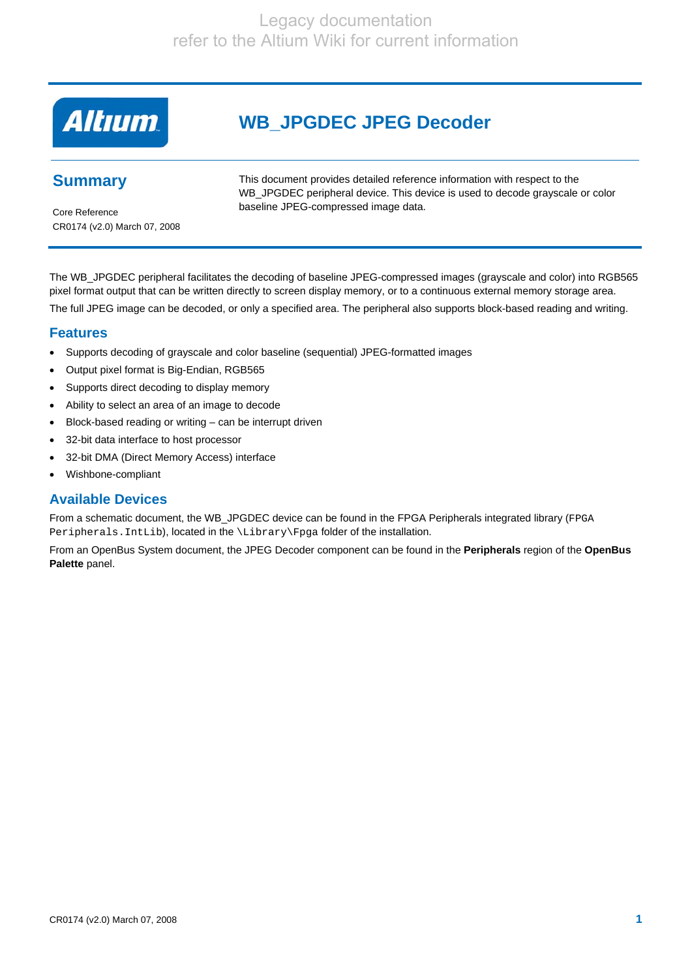# **Altıum**

# **WB\_JPGDEC JPEG Decoder**

# **Summary**

This document provides detailed reference information with respect to the WB\_JPGDEC peripheral device. This device is used to decode grayscale or color baseline JPEG-compressed image data.

Core Reference CR0174 (v2.0) March 07, 2008

The WB\_JPGDEC peripheral facilitates the decoding of baseline JPEG-compressed images (grayscale and color) into RGB565 pixel format output that can be written directly to screen display memory, or to a continuous external memory storage area. The full JPEG image can be decoded, or only a specified area. The peripheral also supports block-based reading and writing.

### **Features**

- Supports decoding of grayscale and color baseline (sequential) JPEG-formatted images
- Output pixel format is Big-Endian, RGB565
- Supports direct decoding to display memory
- Ability to select an area of an image to decode
- Block-based reading or writing can be interrupt driven
- 32-bit data interface to host processor
- 32-bit DMA (Direct Memory Access) interface
- Wishbone-compliant

## **Available Devices**

From a schematic document, the WB\_JPGDEC device can be found in the FPGA Peripherals integrated library (FPGA Peripherals. IntLib), located in the \Library\Fpga folder of the installation.

From an OpenBus System document, the JPEG Decoder component can be found in the **Peripherals** region of the **OpenBus Palette** panel.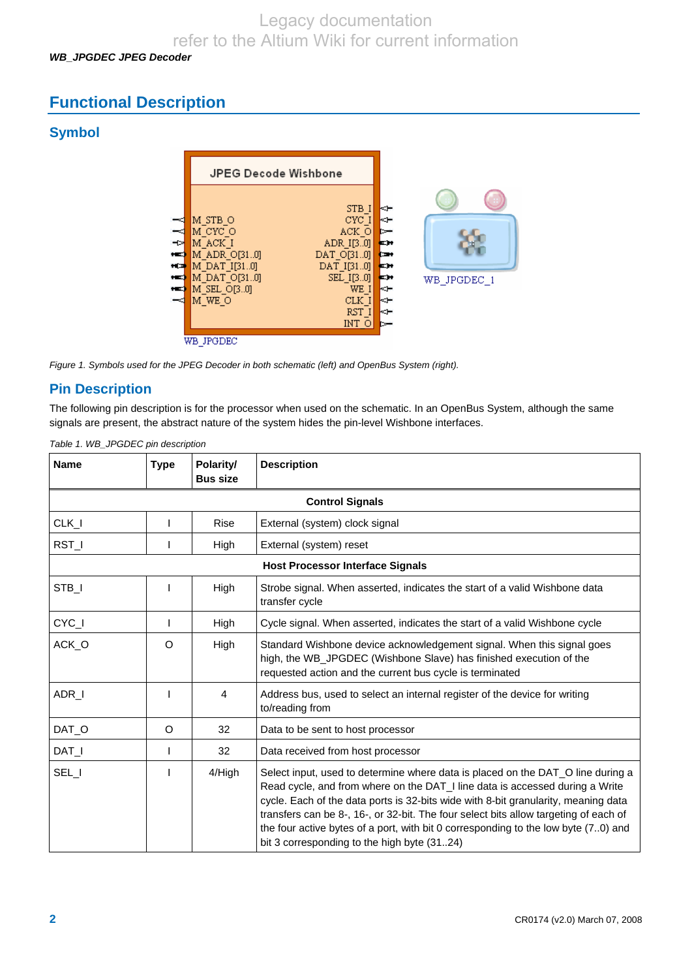*WB\_JPGDEC JPEG Decoder* 

# **Functional Description**

# **Symbol**



*Figure 1. Symbols used for the JPEG Decoder in both schematic (left) and OpenBus System (right).* 

# **Pin Description**

The following pin description is for the processor when used on the schematic. In an OpenBus System, although the same signals are present, the abstract nature of the system hides the pin-level Wishbone interfaces.

*Table 1. WB\_JPGDEC pin description* 

| <b>Name</b>                                                                                                   | <b>Type</b> | Polarity/<br><b>Bus size</b> | <b>Description</b>                                                                                                                                                                                                                                                                                                                                                                                                                                                                 |  |  |  |
|---------------------------------------------------------------------------------------------------------------|-------------|------------------------------|------------------------------------------------------------------------------------------------------------------------------------------------------------------------------------------------------------------------------------------------------------------------------------------------------------------------------------------------------------------------------------------------------------------------------------------------------------------------------------|--|--|--|
|                                                                                                               |             |                              | <b>Control Signals</b>                                                                                                                                                                                                                                                                                                                                                                                                                                                             |  |  |  |
| $CLK_l$                                                                                                       |             | <b>Rise</b>                  | External (system) clock signal                                                                                                                                                                                                                                                                                                                                                                                                                                                     |  |  |  |
| RST_I                                                                                                         |             | High                         | External (system) reset                                                                                                                                                                                                                                                                                                                                                                                                                                                            |  |  |  |
|                                                                                                               |             |                              | <b>Host Processor Interface Signals</b>                                                                                                                                                                                                                                                                                                                                                                                                                                            |  |  |  |
| STB_I<br>High<br>Strobe signal. When asserted, indicates the start of a valid Wishbone data<br>transfer cycle |             |                              |                                                                                                                                                                                                                                                                                                                                                                                                                                                                                    |  |  |  |
| CYC_I                                                                                                         |             | High                         | Cycle signal. When asserted, indicates the start of a valid Wishbone cycle                                                                                                                                                                                                                                                                                                                                                                                                         |  |  |  |
| ACK_O                                                                                                         | O           | High                         | Standard Wishbone device acknowledgement signal. When this signal goes<br>high, the WB_JPGDEC (Wishbone Slave) has finished execution of the<br>requested action and the current bus cycle is terminated                                                                                                                                                                                                                                                                           |  |  |  |
| ADR_I                                                                                                         |             | 4                            | Address bus, used to select an internal register of the device for writing<br>to/reading from                                                                                                                                                                                                                                                                                                                                                                                      |  |  |  |
| DAT O                                                                                                         | O           | 32                           | Data to be sent to host processor                                                                                                                                                                                                                                                                                                                                                                                                                                                  |  |  |  |
| $DATA_l$                                                                                                      | I           | 32                           | Data received from host processor                                                                                                                                                                                                                                                                                                                                                                                                                                                  |  |  |  |
| SEL_I                                                                                                         |             | 4/High                       | Select input, used to determine where data is placed on the DAT_O line during a<br>Read cycle, and from where on the DAT_I line data is accessed during a Write<br>cycle. Each of the data ports is 32-bits wide with 8-bit granularity, meaning data<br>transfers can be 8-, 16-, or 32-bit. The four select bits allow targeting of each of<br>the four active bytes of a port, with bit 0 corresponding to the low byte (70) and<br>bit 3 corresponding to the high byte (3124) |  |  |  |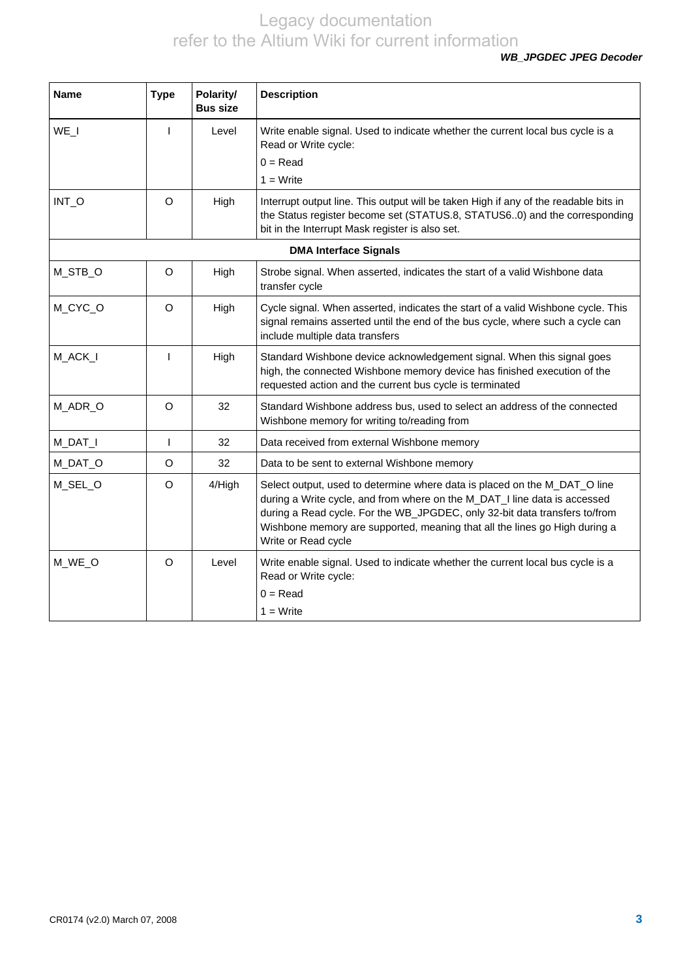*WB\_JPGDEC JPEG Decoder* 

| <b>Name</b> | <b>Type</b>  | Polarity/<br><b>Bus size</b> | <b>Description</b>                                                                                                                                                                                                                                                                                                                        |
|-------------|--------------|------------------------------|-------------------------------------------------------------------------------------------------------------------------------------------------------------------------------------------------------------------------------------------------------------------------------------------------------------------------------------------|
| WE I        | $\mathbf{I}$ | Level                        | Write enable signal. Used to indicate whether the current local bus cycle is a<br>Read or Write cycle:<br>$0 = Read$<br>$1 = Write$                                                                                                                                                                                                       |
| INT_O       | $\circ$      | High                         | Interrupt output line. This output will be taken High if any of the readable bits in<br>the Status register become set (STATUS.8, STATUS60) and the corresponding<br>bit in the Interrupt Mask register is also set.                                                                                                                      |
|             |              |                              | <b>DMA Interface Signals</b>                                                                                                                                                                                                                                                                                                              |
| M_STB_O     | O            | High                         | Strobe signal. When asserted, indicates the start of a valid Wishbone data<br>transfer cycle                                                                                                                                                                                                                                              |
| M_CYC_O     | $\Omega$     | High                         | Cycle signal. When asserted, indicates the start of a valid Wishbone cycle. This<br>signal remains asserted until the end of the bus cycle, where such a cycle can<br>include multiple data transfers                                                                                                                                     |
| M_ACK_I     |              | High                         | Standard Wishbone device acknowledgement signal. When this signal goes<br>high, the connected Wishbone memory device has finished execution of the<br>requested action and the current bus cycle is terminated                                                                                                                            |
| M_ADR_O     | $\circ$      | 32                           | Standard Wishbone address bus, used to select an address of the connected<br>Wishbone memory for writing to/reading from                                                                                                                                                                                                                  |
| M_DAT_I     | $\mathbf{I}$ | 32                           | Data received from external Wishbone memory                                                                                                                                                                                                                                                                                               |
| M_DAT_O     | $\circ$      | 32                           | Data to be sent to external Wishbone memory                                                                                                                                                                                                                                                                                               |
| M_SEL_O     | $\circ$      | 4/High                       | Select output, used to determine where data is placed on the M_DAT_O line<br>during a Write cycle, and from where on the M_DAT_I line data is accessed<br>during a Read cycle. For the WB_JPGDEC, only 32-bit data transfers to/from<br>Wishbone memory are supported, meaning that all the lines go High during a<br>Write or Read cycle |
| M_WE_O      | $\circ$      | Level                        | Write enable signal. Used to indicate whether the current local bus cycle is a<br>Read or Write cycle:<br>$0 = Read$<br>$1 = Write$                                                                                                                                                                                                       |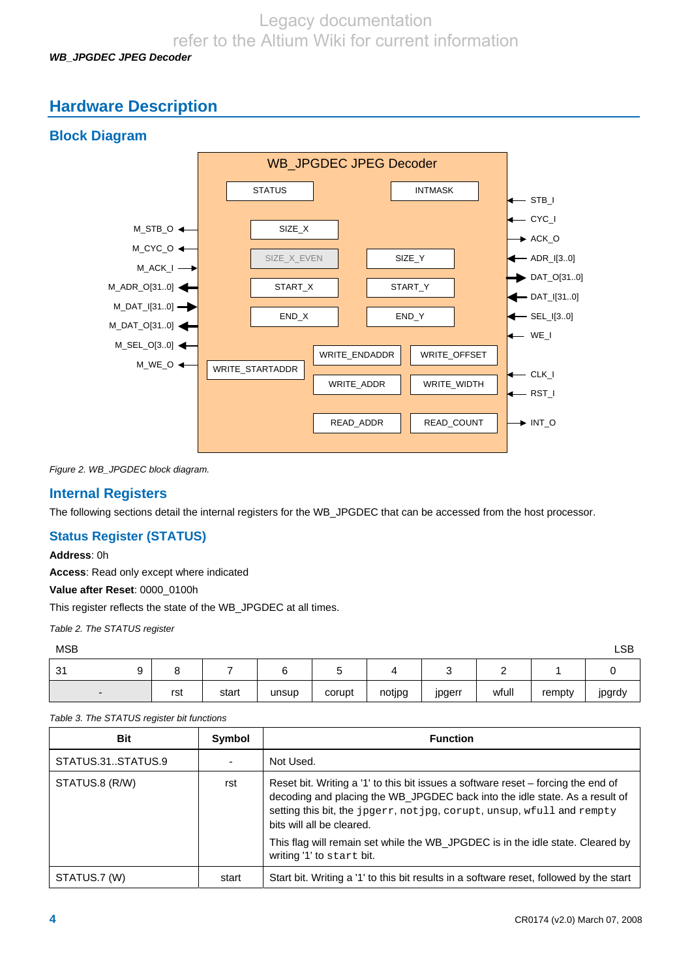Legacy documentation

refer to the Altium Wiki for current information

*WB\_JPGDEC JPEG Decoder* 

# **Hardware Description**

# **Block Diagram**



*Figure 2. WB\_JPGDEC block diagram.* 

### **Internal Registers**

The following sections detail the internal registers for the WB\_JPGDEC that can be accessed from the host processor.

#### **Status Register (STATUS)**

#### **Address**: 0h

**Access**: Read only except where indicated

**Value after Reset**: 0000\_0100h

This register reflects the state of the WB\_JPGDEC at all times.

*Table 2. The STATUS register* 

| <b>MSB</b>               |     |       |       |        |        |        |       |        | LSB    |
|--------------------------|-----|-------|-------|--------|--------|--------|-------|--------|--------|
| -31                      |     |       |       |        |        |        |       |        |        |
| $\overline{\phantom{0}}$ | rst | start | unsup | corupt | notjpg | jpgerr | wfull | rempty | jpgrdy |

*Table 3. The STATUS register bit functions* 

| <b>Bit</b>        | <b>Symbol</b> | <b>Function</b>                                                                                                                                                                                                                                                         |
|-------------------|---------------|-------------------------------------------------------------------------------------------------------------------------------------------------------------------------------------------------------------------------------------------------------------------------|
| STATUS.31STATUS.9 |               | Not Used.                                                                                                                                                                                                                                                               |
| STATUS.8 (R/W)    | rst           | Reset bit. Writing a '1' to this bit issues a software reset – forcing the end of<br>decoding and placing the WB_JPGDEC back into the idle state. As a result of<br>setting this bit, the jpgerr, not jpg, corupt, unsup, wfull and rempty<br>bits will all be cleared. |
|                   |               | This flag will remain set while the WB_JPGDEC is in the idle state. Cleared by<br>writing '1' to start bit.                                                                                                                                                             |
| STATUS.7 (W)      | start         | Start bit. Writing a '1' to this bit results in a software reset, followed by the start                                                                                                                                                                                 |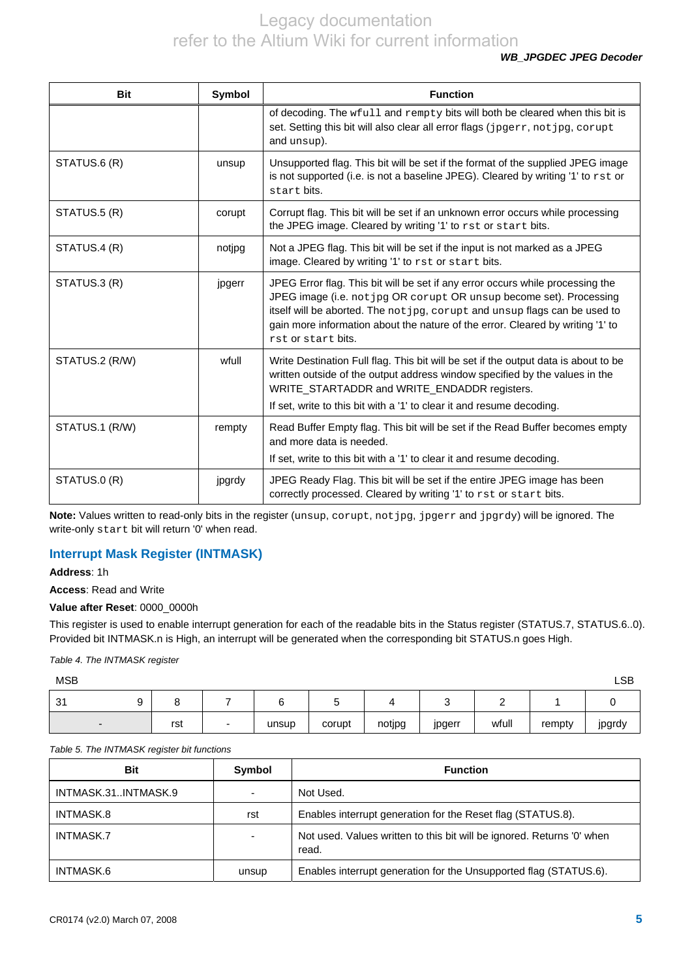*WB\_JPGDEC JPEG Decoder* 

| <b>Bit</b>     | Symbol | <b>Function</b>                                                                                                                                                                                                                                                                                                                             |
|----------------|--------|---------------------------------------------------------------------------------------------------------------------------------------------------------------------------------------------------------------------------------------------------------------------------------------------------------------------------------------------|
|                |        | of decoding. The wfull and rempty bits will both be cleared when this bit is<br>set. Setting this bit will also clear all error flags (jpgerr, not jpg, corupt<br>and unsup).                                                                                                                                                               |
| STATUS.6 (R)   | unsup  | Unsupported flag. This bit will be set if the format of the supplied JPEG image<br>is not supported (i.e. is not a baseline JPEG). Cleared by writing '1' to rst or<br>start bits.                                                                                                                                                          |
| STATUS.5 (R)   | corupt | Corrupt flag. This bit will be set if an unknown error occurs while processing<br>the JPEG image. Cleared by writing '1' to rst or start bits.                                                                                                                                                                                              |
| STATUS.4 (R)   | notjpg | Not a JPEG flag. This bit will be set if the input is not marked as a JPEG<br>image. Cleared by writing '1' to rst or start bits.                                                                                                                                                                                                           |
| STATUS.3 (R)   | jpgerr | JPEG Error flag. This bit will be set if any error occurs while processing the<br>JPEG image (i.e. not jpg OR corupt OR unsup become set). Processing<br>itself will be aborted. The not jpg, corupt and unsup flags can be used to<br>gain more information about the nature of the error. Cleared by writing '1' to<br>rst or start bits. |
| STATUS.2 (R/W) | wfull  | Write Destination Full flag. This bit will be set if the output data is about to be<br>written outside of the output address window specified by the values in the<br>WRITE_STARTADDR and WRITE_ENDADDR registers.                                                                                                                          |
|                |        | If set, write to this bit with a '1' to clear it and resume decoding.                                                                                                                                                                                                                                                                       |
| STATUS.1 (R/W) | rempty | Read Buffer Empty flag. This bit will be set if the Read Buffer becomes empty<br>and more data is needed.<br>If set, write to this bit with a '1' to clear it and resume decoding.                                                                                                                                                          |
| STATUS.0 (R)   | jpgrdy | JPEG Ready Flag. This bit will be set if the entire JPEG image has been<br>correctly processed. Cleared by writing '1' to rst or start bits.                                                                                                                                                                                                |

Note: Values written to read-only bits in the register (unsup, corupt, not jpg, jpgerr and jpgrdy) will be ignored. The write-only start bit will return '0' when read.

### **Interrupt Mask Register (INTMASK)**

**Address**: 1h

**Access**: Read and Write

**Value after Reset**: 0000\_0000h

This register is used to enable interrupt generation for each of the readable bits in the Status register (STATUS.7, STATUS.6..0). Provided bit INTMASK.n is High, an interrupt will be generated when the corresponding bit STATUS.n goes High.

*Table 4. The INTMASK register* 

which is a state of the control of the control of the control of the control of the control of the control of the control of the control of the control of the control of the control of the control of the control of the con

| $\sim$<br>ູບ ເ |     |       |        |        |        |       |        |        |
|----------------|-----|-------|--------|--------|--------|-------|--------|--------|
|                | rst | unsup | corupt | notjpg | jpgerr | wfull | rempty | jpgrdy |

#### *Table 5. The INTMASK register bit functions*

| Bit                 | Symbol | <b>Function</b>                                                                 |
|---------------------|--------|---------------------------------------------------------------------------------|
| INTMASK.31INTMASK.9 |        | Not Used.                                                                       |
| INTMASK.8           | rst    | Enables interrupt generation for the Reset flag (STATUS.8).                     |
| INTMASK.7           |        | Not used. Values written to this bit will be ignored. Returns '0' when<br>read. |
| INTMASK.6           | unsup  | Enables interrupt generation for the Unsupported flag (STATUS.6).               |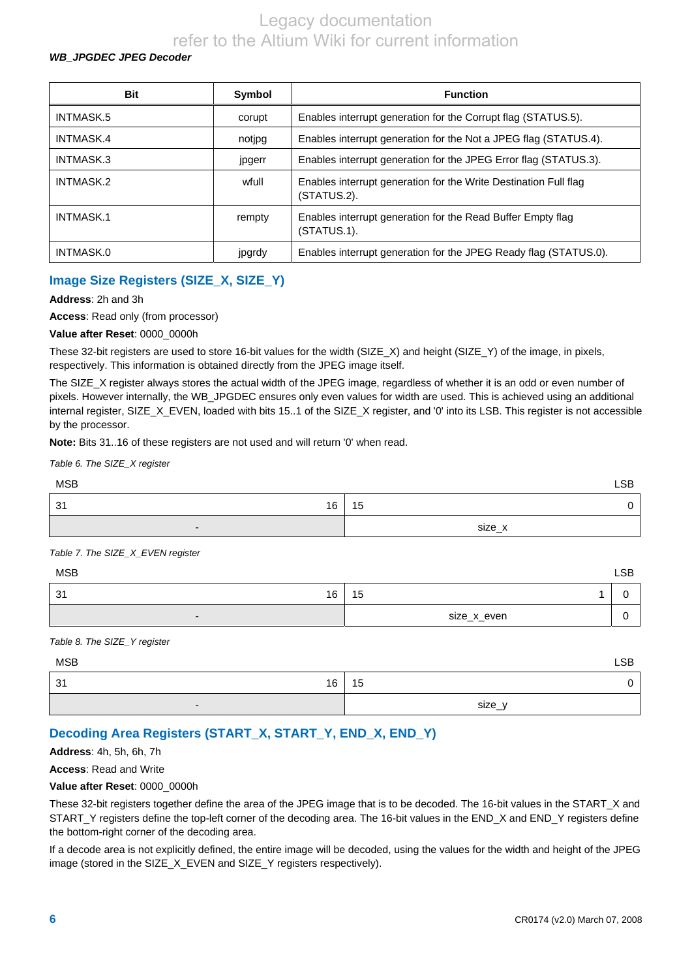#### *WB\_JPGDEC JPEG Decoder*

| <b>Bit</b> | Symbol | <b>Function</b>                                                                 |
|------------|--------|---------------------------------------------------------------------------------|
| INTMASK.5  | corupt | Enables interrupt generation for the Corrupt flag (STATUS.5).                   |
| INTMASK.4  | notipg | Enables interrupt generation for the Not a JPEG flag (STATUS.4).                |
| INTMASK.3  | jpgerr | Enables interrupt generation for the JPEG Error flag (STATUS.3).                |
| INTMASK.2  | wfull  | Enables interrupt generation for the Write Destination Full flag<br>(STATUS.2). |
| INTMASK.1  | rempty | Enables interrupt generation for the Read Buffer Empty flag<br>(STATUS.1).      |
| INTMASK.0  | jpgrdy | Enables interrupt generation for the JPEG Ready flag (STATUS.0).                |

## **Image Size Registers (SIZE\_X, SIZE\_Y)**

**Address**: 2h and 3h

**Access**: Read only (from processor)

**Value after Reset**: 0000\_0000h

These 32-bit registers are used to store 16-bit values for the width (SIZE\_X) and height (SIZE\_Y) of the image, in pixels, respectively. This information is obtained directly from the JPEG image itself.

The SIZE\_X register always stores the actual width of the JPEG image, regardless of whether it is an odd or even number of pixels. However internally, the WB\_JPGDEC ensures only even values for width are used. This is achieved using an additional internal register, SIZE\_X\_EVEN, loaded with bits 15..1 of the SIZE\_X register, and '0' into its LSB. This register is not accessible by the processor.

**Note:** Bits 31..16 of these registers are not used and will return '0' when read.

| Table 6. The SIZE_X register |            |
|------------------------------|------------|
| <b>MSB</b>                   | <b>LSB</b> |
| 16<br>-31                    | 15<br>0    |
| $\overline{\phantom{0}}$     | size_x     |

*Table 7. The SIZE\_X\_EVEN register* 

| <b>MSB</b>               |             | <b>LSB</b> |
|--------------------------|-------------|------------|
| 16<br>31                 | 15          |            |
| $\overline{\phantom{0}}$ | size_x_even | v          |

#### *Table 8. The SIZE\_Y register*

| <b>MSB</b>               | <b>LSB</b> |
|--------------------------|------------|
| 31<br>16                 | 15         |
| $\overline{\phantom{0}}$ | size_y     |

## **Decoding Area Registers (START\_X, START\_Y, END\_X, END\_Y)**

**Address**: 4h, 5h, 6h, 7h

**Access**: Read and Write

#### **Value after Reset**: 0000\_0000h

These 32-bit registers together define the area of the JPEG image that is to be decoded. The 16-bit values in the START\_X and START\_Y registers define the top-left corner of the decoding area. The 16-bit values in the END\_X and END\_Y registers define the bottom-right corner of the decoding area.

If a decode area is not explicitly defined, the entire image will be decoded, using the values for the width and height of the JPEG image (stored in the SIZE\_X\_EVEN and SIZE\_Y registers respectively).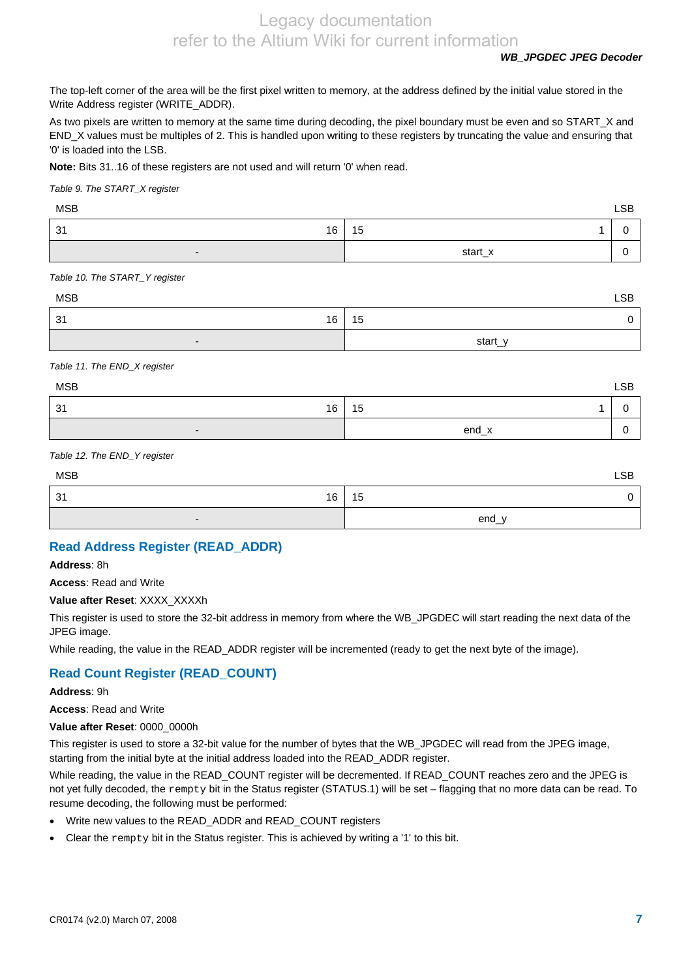*WB\_JPGDEC JPEG Decoder* 

The top-left corner of the area will be the first pixel written to memory, at the address defined by the initial value stored in the Write Address register (WRITE\_ADDR).

As two pixels are written to memory at the same time during decoding, the pixel boundary must be even and so START\_X and END\_X values must be multiples of 2. This is handled upon writing to these registers by truncating the value and ensuring that '0' is loaded into the LSB.

**Note:** Bits 31..16 of these registers are not used and will return '0' when read.

*Table 9. The START\_X register* 

| MSB      |         | <b>LSB</b> |
|----------|---------|------------|
| 31<br>16 | 15      |            |
| .        | start_x |            |

*Table 10. The START\_Y register* 

| <b>MSB</b>               | <b>LSB</b> |
|--------------------------|------------|
| 16<br>31                 | 15         |
| $\overline{\phantom{0}}$ | start_y    |

*Table 11. The END\_X register* 

| <b>MSB</b>               |         | <b>LSB</b> |
|--------------------------|---------|------------|
| 31<br>16                 | 15      |            |
| $\overline{\phantom{0}}$ | $end_x$ |            |

#### *Table 12. The END\_Y register*

| <b>MSB</b>               | <b>LSB</b> |
|--------------------------|------------|
| 31<br>16                 | 15         |
| $\overline{\phantom{0}}$ | end_y      |

### **Read Address Register (READ\_ADDR)**

**Address**: 8h

**Access**: Read and Write

#### **Value after Reset**: XXXX\_XXXXh

This register is used to store the 32-bit address in memory from where the WB\_JPGDEC will start reading the next data of the JPEG image.

While reading, the value in the READ\_ADDR register will be incremented (ready to get the next byte of the image).

### **Read Count Register (READ\_COUNT)**

**Address**: 9h

**Access**: Read and Write

**Value after Reset**: 0000\_0000h

This register is used to store a 32-bit value for the number of bytes that the WB\_JPGDEC will read from the JPEG image, starting from the initial byte at the initial address loaded into the READ\_ADDR register.

While reading, the value in the READ\_COUNT register will be decremented. If READ\_COUNT reaches zero and the JPEG is not yet fully decoded, the rempty bit in the Status register (STATUS.1) will be set – flagging that no more data can be read. To resume decoding, the following must be performed:

- Write new values to the READ\_ADDR and READ\_COUNT registers
- Clear the rempty bit in the Status register. This is achieved by writing a '1' to this bit.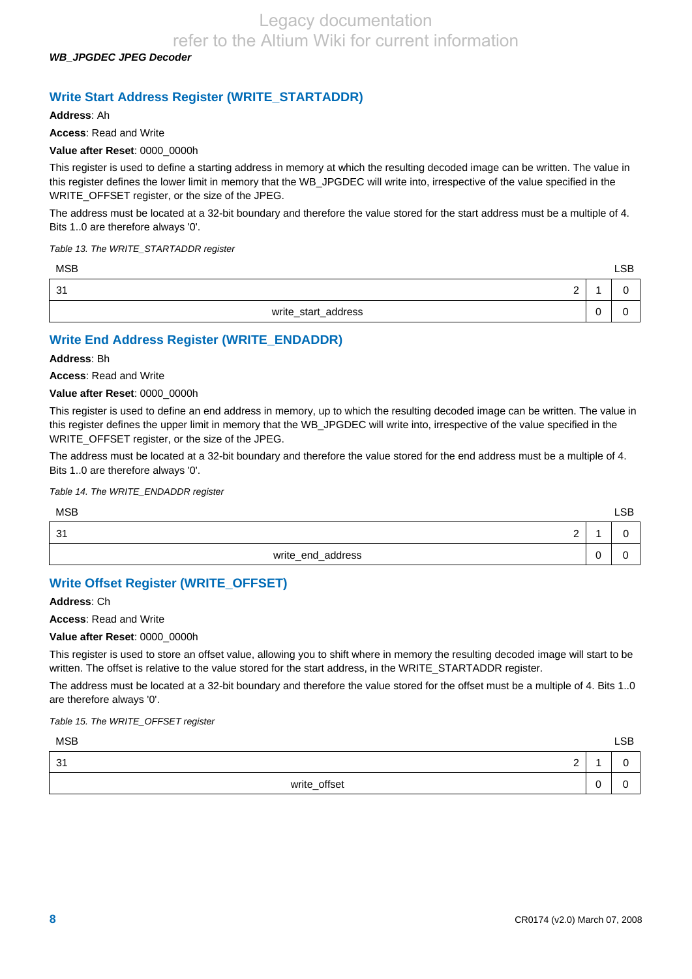*WB\_JPGDEC JPEG Decoder* 

### **Write Start Address Register (WRITE\_STARTADDR)**

**Address**: Ah

**Access**: Read and Write

#### **Value after Reset**: 0000\_0000h

This register is used to define a starting address in memory at which the resulting decoded image can be written. The value in this register defines the lower limit in memory that the WB\_JPGDEC will write into, irrespective of the value specified in the WRITE\_OFFSET register, or the size of the JPEG.

The address must be located at a 32-bit boundary and therefore the value stored for the start address must be a multiple of 4. Bits 1..0 are therefore always '0'.

*Table 13. The WRITE\_STARTADDR register* 

| <b>MSB</b>          | <b>LSB</b> |
|---------------------|------------|
| -31<br>◠<br>-       |            |
| write_start_address |            |

### **Write End Address Register (WRITE\_ENDADDR)**

**Address**: Bh

**Access**: Read and Write

#### **Value after Reset**: 0000\_0000h

This register is used to define an end address in memory, up to which the resulting decoded image can be written. The value in this register defines the upper limit in memory that the WB\_JPGDEC will write into, irrespective of the value specified in the WRITE\_OFFSET register, or the size of the JPEG.

The address must be located at a 32-bit boundary and therefore the value stored for the end address must be a multiple of 4. Bits 1..0 are therefore always '0'.

#### *Table 14. The WRITE\_ENDADDR register*

| <b>MSB</b>        |        | <b>LSB</b> |
|-------------------|--------|------------|
| 31<br>⌒<br>-      |        |            |
| write_end_address | -<br>⊾ |            |

### **Write Offset Register (WRITE\_OFFSET)**

**Address**: Ch

**Access**: Read and Write

#### **Value after Reset**: 0000\_0000h

This register is used to store an offset value, allowing you to shift where in memory the resulting decoded image will start to be written. The offset is relative to the value stored for the start address, in the WRITE\_STARTADDR register.

The address must be located at a 32-bit boundary and therefore the value stored for the offset must be a multiple of 4. Bits 1..0 are therefore always '0'.

*Table 15. The WRITE\_OFFSET register* 

| <b>MSB</b>            |   | LSB |
|-----------------------|---|-----|
| 31<br>$\sqrt{2}$<br>- |   |     |
| write_offset          | ີ |     |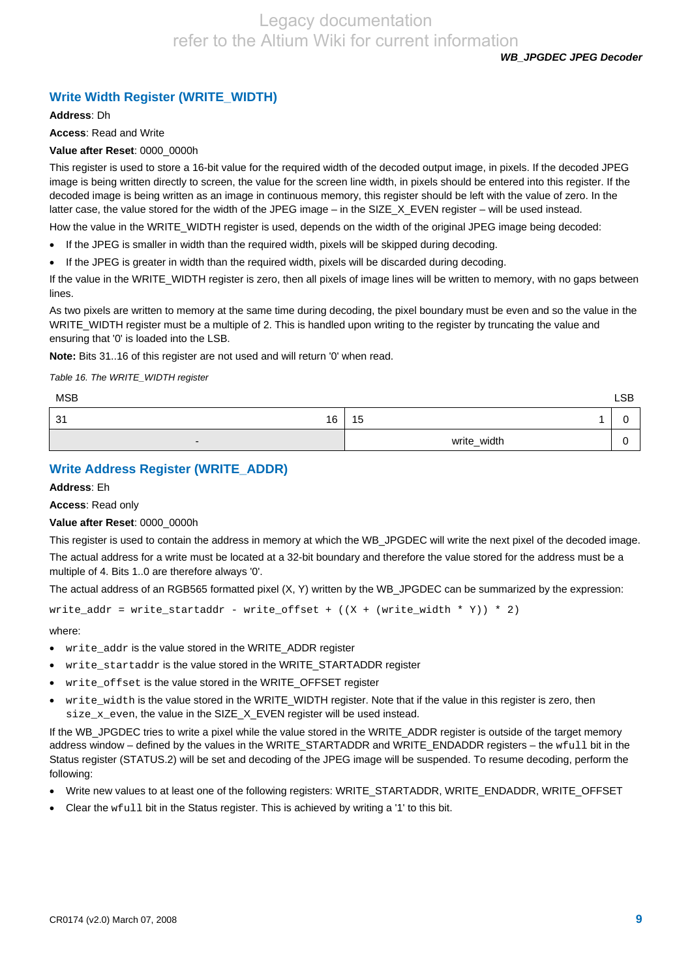*WB\_JPGDEC JPEG Decoder* 

# **Write Width Register (WRITE\_WIDTH)**

**Address**: Dh

**Access**: Read and Write

#### **Value after Reset**: 0000\_0000h

This register is used to store a 16-bit value for the required width of the decoded output image, in pixels. If the decoded JPEG image is being written directly to screen, the value for the screen line width, in pixels should be entered into this register. If the decoded image is being written as an image in continuous memory, this register should be left with the value of zero. In the latter case, the value stored for the width of the JPEG image – in the SIZE\_X\_EVEN register – will be used instead.

How the value in the WRITE\_WIDTH register is used, depends on the width of the original JPEG image being decoded:

- If the JPEG is smaller in width than the required width, pixels will be skipped during decoding.
- If the JPEG is greater in width than the required width, pixels will be discarded during decoding.

If the value in the WRITE\_WIDTH register is zero, then all pixels of image lines will be written to memory, with no gaps between lines.

As two pixels are written to memory at the same time during decoding, the pixel boundary must be even and so the value in the WRITE\_WIDTH register must be a multiple of 2. This is handled upon writing to the register by truncating the value and ensuring that '0' is loaded into the LSB.

**Note:** Bits 31..16 of this register are not used and will return '0' when read.

*Table 16. The WRITE\_WIDTH register* 

| <b>MSB</b>               |             | <b>LSB</b> |
|--------------------------|-------------|------------|
| 31<br>16                 | 15          |            |
| $\overline{\phantom{0}}$ | write_width |            |

### **Write Address Register (WRITE\_ADDR)**

**Address**: Eh

**Access**: Read only

#### **Value after Reset**: 0000\_0000h

This register is used to contain the address in memory at which the WB\_JPGDEC will write the next pixel of the decoded image. The actual address for a write must be located at a 32-bit boundary and therefore the value stored for the address must be a multiple of 4. Bits 1..0 are therefore always '0'.

The actual address of an RGB565 formatted pixel (X, Y) written by the WB\_JPGDEC can be summarized by the expression:

write\_addr = write\_startaddr - write\_offset +  $((X + (write\_width * Y)) * 2)$ 

where:

- write\_addr is the value stored in the WRITE\_ADDR register
- write\_startaddr is the value stored in the WRITE\_STARTADDR register
- write\_offset is the value stored in the WRITE\_OFFSET register
- write\_width is the value stored in the WRITE\_WIDTH register. Note that if the value in this register is zero, then size\_x\_even, the value in the SIZE\_X\_EVEN register will be used instead.

If the WB\_JPGDEC tries to write a pixel while the value stored in the WRITE\_ADDR register is outside of the target memory address window – defined by the values in the WRITE\_STARTADDR and WRITE\_ENDADDR registers – the wfull bit in the Status register (STATUS.2) will be set and decoding of the JPEG image will be suspended. To resume decoding, perform the following:

- Write new values to at least one of the following registers: WRITE\_STARTADDR, WRITE\_ENDADDR, WRITE\_OFFSET
- Clear the wfull bit in the Status register. This is achieved by writing a '1' to this bit.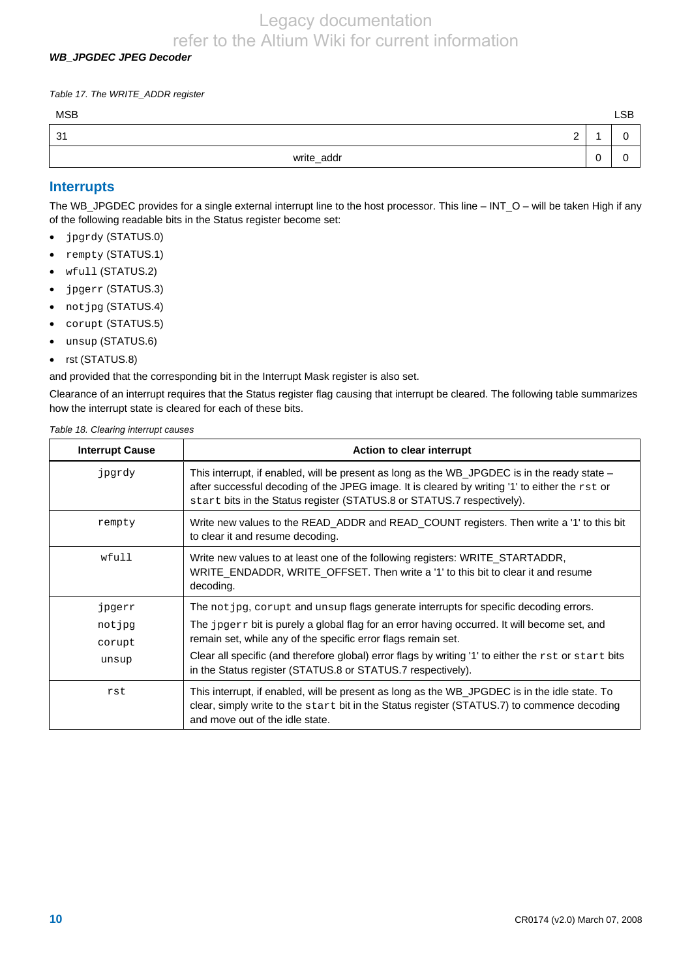#### *WB\_JPGDEC JPEG Decoder*

*Table 17. The WRITE\_ADDR register* 

| <b>MSB</b>        |   | <b>LSB</b> |
|-------------------|---|------------|
| 31<br>$\sim$<br>- |   | -<br>⊾.    |
| write_addr        | ັ | ∽          |

#### **Interrupts**

The WB\_JPGDEC provides for a single external interrupt line to the host processor. This line – INT\_O – will be taken High if any of the following readable bits in the Status register become set:

- jpgrdy (STATUS.0)
- rempty (STATUS.1)
- wfull (STATUS.2)
- jpgerr (STATUS.3)
- notjpg (STATUS.4)
- corupt (STATUS.5)
- unsup (STATUS.6)
- rst (STATUS.8)

and provided that the corresponding bit in the Interrupt Mask register is also set.

Clearance of an interrupt requires that the Status register flag causing that interrupt be cleared. The following table summarizes how the interrupt state is cleared for each of these bits.

*Table 18. Clearing interrupt causes* 

| <b>Interrupt Cause</b> | <b>Action to clear interrupt</b>                                                                                                                                                                                                                                         |
|------------------------|--------------------------------------------------------------------------------------------------------------------------------------------------------------------------------------------------------------------------------------------------------------------------|
| jpgrdy                 | This interrupt, if enabled, will be present as long as the WB_JPGDEC is in the ready state –<br>after successful decoding of the JPEG image. It is cleared by writing '1' to either the rst or<br>start bits in the Status register (STATUS.8 or STATUS.7 respectively). |
| rempty                 | Write new values to the READ_ADDR and READ_COUNT registers. Then write a '1' to this bit<br>to clear it and resume decoding.                                                                                                                                             |
| wfull                  | Write new values to at least one of the following registers: WRITE_STARTADDR,<br>WRITE_ENDADDR, WRITE_OFFSET. Then write a '1' to this bit to clear it and resume<br>decoding.                                                                                           |
| jpgerr                 | The not jpg, corupt and unsup flags generate interrupts for specific decoding errors.                                                                                                                                                                                    |
| notjpg                 | The jpgerr bit is purely a global flag for an error having occurred. It will become set, and                                                                                                                                                                             |
| corupt                 | remain set, while any of the specific error flags remain set.                                                                                                                                                                                                            |
| unsup                  | Clear all specific (and therefore global) error flags by writing '1' to either the $rst$ or start bits<br>in the Status register (STATUS.8 or STATUS.7 respectively).                                                                                                    |
| rst                    | This interrupt, if enabled, will be present as long as the WB_JPGDEC is in the idle state. To<br>clear, simply write to the start bit in the Status register (STATUS.7) to commence decoding<br>and move out of the idle state.                                          |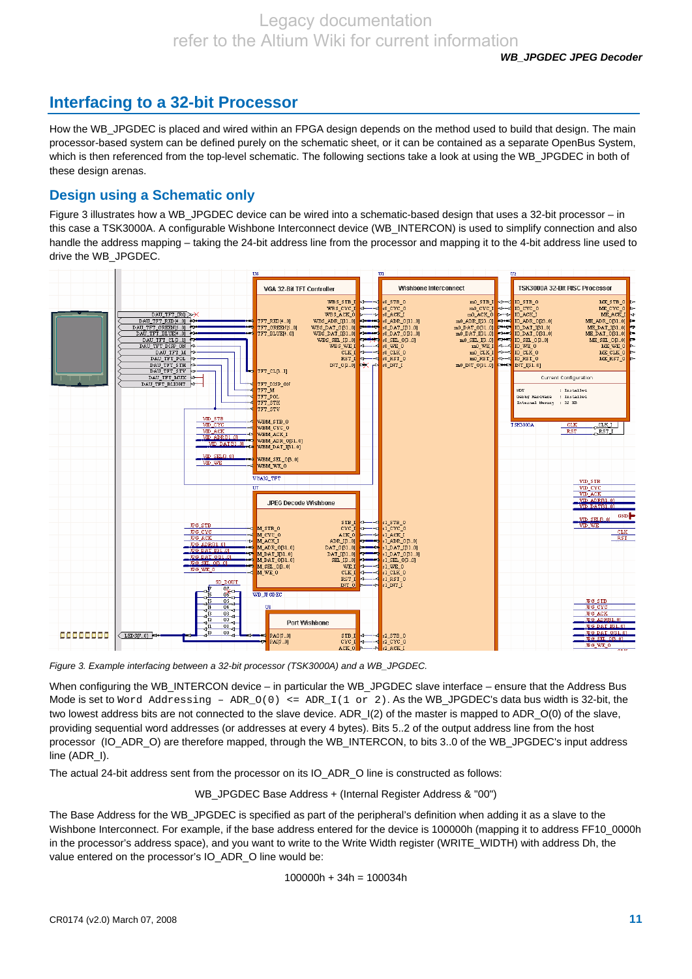# **Interfacing to a 32-bit Processor**

How the WB\_JPGDEC is placed and wired within an FPGA design depends on the method used to build that design. The main processor-based system can be defined purely on the schematic sheet, or it can be contained as a separate OpenBus System, which is then referenced from the top-level schematic. The following sections take a look at using the WB JPGDEC in both of these design arenas.

## **Design using a Schematic only**

Figure 3 illustrates how a WB\_JPGDEC device can be wired into a schematic-based design that uses a 32-bit processor – in this case a TSK3000A. A configurable Wishbone Interconnect device (WB\_INTERCON) is used to simplify connection and also handle the address mapping – taking the 24-bit address line from the processor and mapping it to the 4-bit address line used to drive the WB\_JPGDEC.



*Figure 3. Example interfacing between a 32-bit processor (TSK3000A) and a WB\_JPGDEC.* 

When configuring the WB\_INTERCON device – in particular the WB\_JPGDEC slave interface – ensure that the Address Bus Mode is set to Word Addressing -  $ADR_O(0) \leq ADR_I(1 \text{ or } 2)$ . As the WB\_JPGDEC's data bus width is 32-bit, the two lowest address bits are not connected to the slave device. ADR\_I(2) of the master is mapped to ADR\_O(0) of the slave, providing sequential word addresses (or addresses at every 4 bytes). Bits 5..2 of the output address line from the host processor (IO\_ADR\_O) are therefore mapped, through the WB\_INTERCON, to bits 3..0 of the WB\_JPGDEC's input address line (ADR\_I).

The actual 24-bit address sent from the processor on its IO\_ADR\_O line is constructed as follows:

WB\_JPGDEC Base Address + (Internal Register Address & "00")

The Base Address for the WB\_JPGDEC is specified as part of the peripheral's definition when adding it as a slave to the Wishbone Interconnect. For example, if the base address entered for the device is 100000h (mapping it to address FF10, 0000h) in the processor's address space), and you want to write to the Write Width register (WRITE\_WIDTH) with address Dh, the value entered on the processor's IO\_ADR\_O line would be:

$$
100000h + 34h = 100034h
$$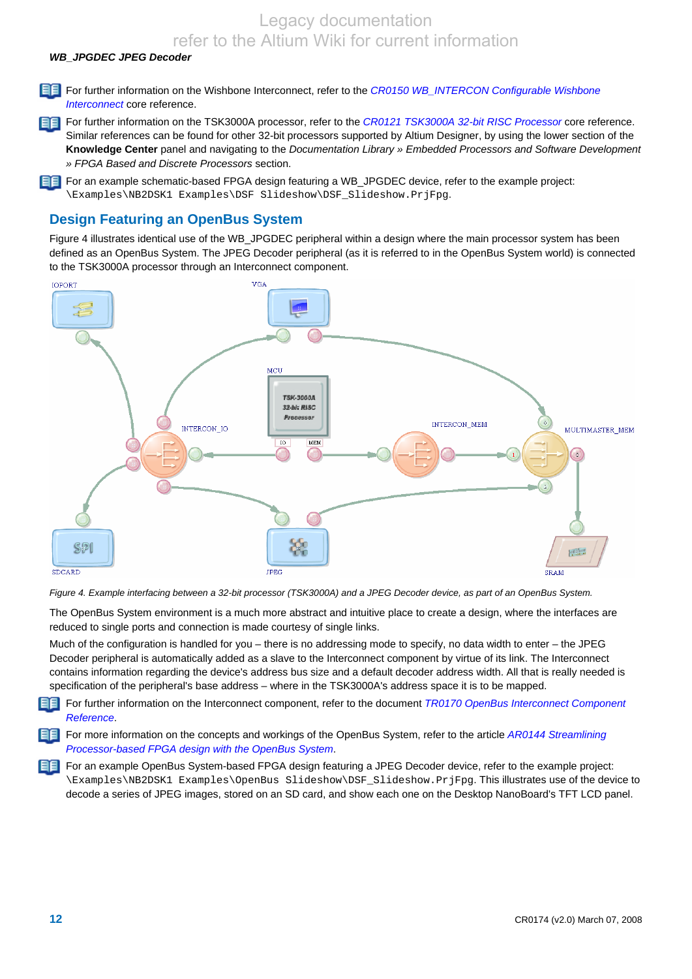Legacy documentation

refer to the Altium Wiki for current information *WB\_JPGDEC JPEG Decoder* 

For further information on the Wishbone Interconnect, refer to the *CR0150 WB\_INTERCON Configurable Wishbone Interconnect* core reference.

FF For further information on the TSK3000A processor, refer to the *CR0121 TSK3000A 32-bit RISC Processor* core reference. Similar references can be found for other 32-bit processors supported by Altium Designer, by using the lower section of the **Knowledge Center** panel and navigating to the *Documentation Library » Embedded Processors and Software Development » FPGA Based and Discrete Processors* section.

FF For an example schematic-based FPGA design featuring a WB\_JPGDEC device, refer to the example project: \Examples\NB2DSK1 Examples\DSF Slideshow\DSF\_Slideshow.PrjFpg.

### **Design Featuring an OpenBus System**

Figure 4 illustrates identical use of the WB JPGDEC peripheral within a design where the main processor system has been defined as an OpenBus System. The JPEG Decoder peripheral (as it is referred to in the OpenBus System world) is connected to the TSK3000A processor through an Interconnect component.



*Figure 4. Example interfacing between a 32-bit processor (TSK3000A) and a JPEG Decoder device, as part of an OpenBus System.* 

The OpenBus System environment is a much more abstract and intuitive place to create a design, where the interfaces are reduced to single ports and connection is made courtesy of single links.

Much of the configuration is handled for you – there is no addressing mode to specify, no data width to enter – the JPEG Decoder peripheral is automatically added as a slave to the Interconnect component by virtue of its link. The Interconnect contains information regarding the device's address bus size and a default decoder address width. All that is really needed is specification of the peripheral's base address – where in the TSK3000A's address space it is to be mapped.

188 I For further information on the Interconnect component, refer to the document *TR0170 OpenBus Interconnect Component Reference*.

For more information on the concepts and workings of the OpenBus System, refer to the article *AR0144 Streamlining Processor-based FPGA design with the OpenBus System*.

For an example OpenBus System-based FPGA design featuring a JPEG Decoder device, refer to the example project: \Examples\NB2DSK1 Examples\OpenBus Slideshow\DSF\_Slideshow.PrjFpg. This illustrates use of the device to decode a series of JPEG images, stored on an SD card, and show each one on the Desktop NanoBoard's TFT LCD panel.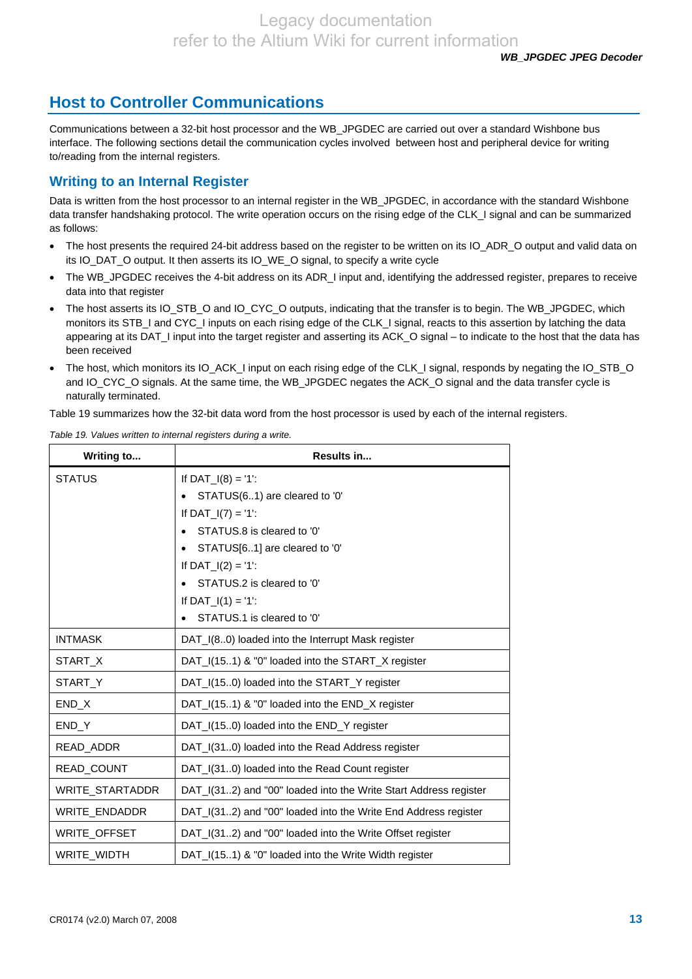# **Host to Controller Communications**

Communications between a 32-bit host processor and the WB\_JPGDEC are carried out over a standard Wishbone bus interface. The following sections detail the communication cycles involved between host and peripheral device for writing to/reading from the internal registers.

# **Writing to an Internal Register**

Data is written from the host processor to an internal register in the WB\_JPGDEC, in accordance with the standard Wishbone data transfer handshaking protocol. The write operation occurs on the rising edge of the CLK\_I signal and can be summarized as follows:

- The host presents the required 24-bit address based on the register to be written on its IO\_ADR\_O output and valid data on its IO\_DAT\_O output. It then asserts its IO\_WE\_O signal, to specify a write cycle
- The WB JPGDEC receives the 4-bit address on its ADR I input and, identifying the addressed register, prepares to receive data into that register
- The host asserts its IO\_STB\_O and IO\_CYC\_O outputs, indicating that the transfer is to begin. The WB\_JPGDEC, which monitors its STB\_I and CYC\_I inputs on each rising edge of the CLK\_I signal, reacts to this assertion by latching the data appearing at its DAT\_I input into the target register and asserting its ACK\_O signal – to indicate to the host that the data has been received
- The host, which monitors its IO\_ACK\_I input on each rising edge of the CLK\_I signal, responds by negating the IO\_STB\_O and IO\_CYC\_O signals. At the same time, the WB\_JPGDEC negates the ACK\_O signal and the data transfer cycle is naturally terminated.

Table 19 summarizes how the 32-bit data word from the host processor is used by each of the internal registers.

| Writing to        | Results in                                                       |
|-------------------|------------------------------------------------------------------|
| <b>STATUS</b>     | If $DATA_1(8) = '1$ :                                            |
|                   | STATUS(61) are cleared to '0'                                    |
|                   | If $DATA_1(7) = '1'$ :                                           |
|                   | STATUS.8 is cleared to '0'                                       |
|                   | STATUS[61] are cleared to '0'                                    |
|                   | If $DATA_1(2) = '1$ :                                            |
|                   | STATUS.2 is cleared to '0'                                       |
|                   | If $DATA_1(1) = '1$ :                                            |
|                   | STATUS.1 is cleared to '0'                                       |
| <b>INTMASK</b>    | DAT I(80) loaded into the Interrupt Mask register                |
| START_X           | DAT_I(151) & "0" loaded into the START_X register                |
| START_Y           | DAT_I(150) loaded into the START_Y register                      |
| END_X             | DAT_I(151) & "0" loaded into the END_X register                  |
| END Y             | DAT_I(150) loaded into the END_Y register                        |
| READ_ADDR         | DAT_I(310) loaded into the Read Address register                 |
| <b>READ COUNT</b> | DAT_I(310) loaded into the Read Count register                   |
| WRITE_STARTADDR   | DAT_I(312) and "00" loaded into the Write Start Address register |
| WRITE_ENDADDR     | DAT_I(312) and "00" loaded into the Write End Address register   |
| WRITE_OFFSET      | DAT_I(312) and "00" loaded into the Write Offset register        |
| WRITE_WIDTH       | DAT_I(151) & "0" loaded into the Write Width register            |

*Table 19. Values written to internal registers during a write.*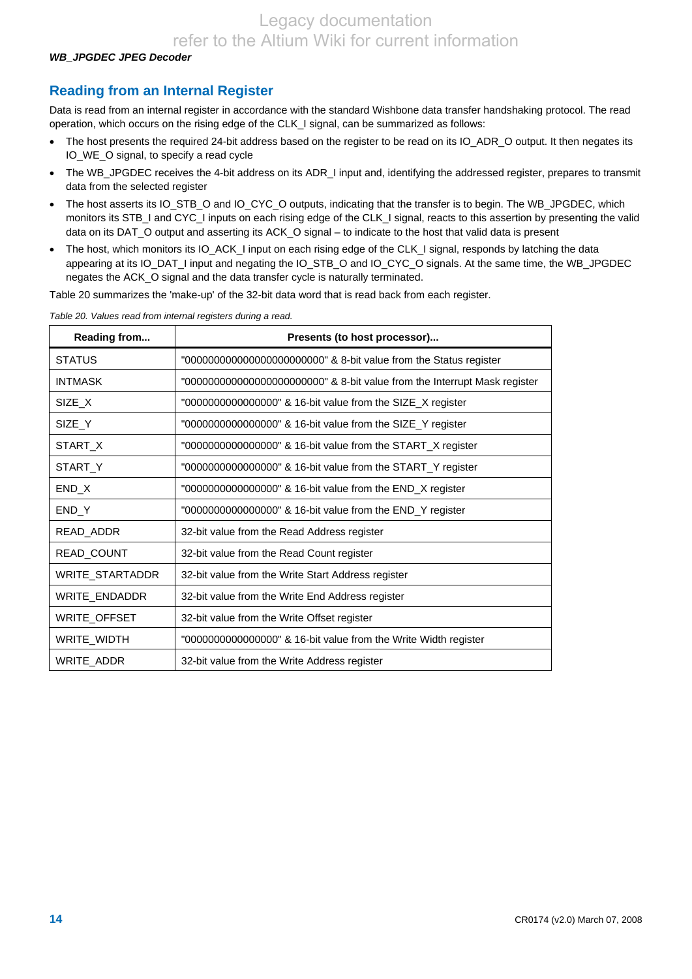#### *WB\_JPGDEC JPEG Decoder*

# **Reading from an Internal Register**

Data is read from an internal register in accordance with the standard Wishbone data transfer handshaking protocol. The read operation, which occurs on the rising edge of the CLK\_I signal, can be summarized as follows:

- The host presents the required 24-bit address based on the register to be read on its IO\_ADR\_O output. It then negates its IO\_WE\_O signal, to specify a read cycle
- The WB\_JPGDEC receives the 4-bit address on its ADR\_I input and, identifying the addressed register, prepares to transmit data from the selected register
- The host asserts its IO\_STB\_O and IO\_CYC\_O outputs, indicating that the transfer is to begin. The WB\_JPGDEC, which monitors its STB\_I and CYC\_I inputs on each rising edge of the CLK\_I signal, reacts to this assertion by presenting the valid data on its DAT\_O output and asserting its ACK\_O signal – to indicate to the host that valid data is present
- The host, which monitors its IO\_ACK\_I input on each rising edge of the CLK\_I signal, responds by latching the data appearing at its IO\_DAT\_I input and negating the IO\_STB\_O and IO\_CYC\_O signals. At the same time, the WB\_JPGDEC negates the ACK\_O signal and the data transfer cycle is naturally terminated.

Table 20 summarizes the 'make-up' of the 32-bit data word that is read back from each register.

| Reading from      | Presents (to host processor)                                               |
|-------------------|----------------------------------------------------------------------------|
| <b>STATUS</b>     | "00000000000000000000000000" & 8-bit value from the Status register        |
| <b>INTMASK</b>    | "0000000000000000000000000" & 8-bit value from the Interrupt Mask register |
| SIZE X            | "00000000000000000" & 16-bit value from the SIZE_X register                |
| SIZE Y            | "0000000000000000" & 16-bit value from the SIZE_Y register                 |
| START_X           | "00000000000000000" & 16-bit value from the START_X register               |
| START Y           | "00000000000000000" & 16-bit value from the START_Y register               |
| END_X             | "00000000000000000" & 16-bit value from the END_X register                 |
| END_Y             | "00000000000000000" & 16-bit value from the END_Y register                 |
| READ_ADDR         | 32-bit value from the Read Address register                                |
| <b>READ COUNT</b> | 32-bit value from the Read Count register                                  |
| WRITE STARTADDR   | 32-bit value from the Write Start Address register                         |
| WRITE_ENDADDR     | 32-bit value from the Write End Address register                           |
| WRITE_OFFSET      | 32-bit value from the Write Offset register                                |
| WRITE_WIDTH       | "00000000000000000" & 16-bit value from the Write Width register           |
| WRITE ADDR        | 32-bit value from the Write Address register                               |

*Table 20. Values read from internal registers during a read.*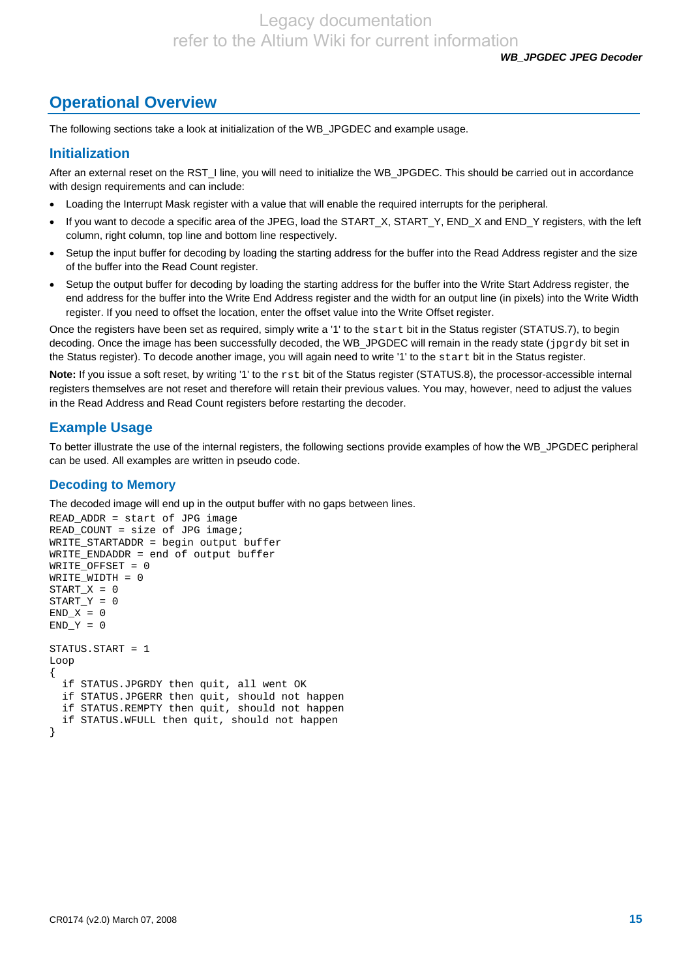# **Operational Overview**

The following sections take a look at initialization of the WB\_JPGDEC and example usage.

### **Initialization**

After an external reset on the RST\_I line, you will need to initialize the WB\_JPGDEC. This should be carried out in accordance with design requirements and can include:

- Loading the Interrupt Mask register with a value that will enable the required interrupts for the peripheral.
- If you want to decode a specific area of the JPEG, load the START\_X, START\_Y, END\_X and END\_Y registers, with the left column, right column, top line and bottom line respectively.
- Setup the input buffer for decoding by loading the starting address for the buffer into the Read Address register and the size of the buffer into the Read Count register.
- Setup the output buffer for decoding by loading the starting address for the buffer into the Write Start Address register, the end address for the buffer into the Write End Address register and the width for an output line (in pixels) into the Write Width register. If you need to offset the location, enter the offset value into the Write Offset register.

Once the registers have been set as required, simply write a '1' to the start bit in the Status register (STATUS.7), to begin decoding. Once the image has been successfully decoded, the WB\_JPGDEC will remain in the ready state (jpgrdy bit set in the Status register). To decode another image, you will again need to write '1' to the start bit in the Status register.

Note: If you issue a soft reset, by writing '1' to the rst bit of the Status register (STATUS.8), the processor-accessible internal registers themselves are not reset and therefore will retain their previous values. You may, however, need to adjust the values in the Read Address and Read Count registers before restarting the decoder.

### **Example Usage**

To better illustrate the use of the internal registers, the following sections provide examples of how the WB\_JPGDEC peripheral can be used. All examples are written in pseudo code.

#### **Decoding to Memory**

The decoded image will end up in the output buffer with no gaps between lines.

```
READ_ADDR = start of JPG image 
READ_COUNT = size of JPG image; 
WRITE_STARTADDR = begin output buffer 
WRITE_ENDADDR = end of output buffer 
WRITE_OFFSET = 0 
WRITE_WIDTH = 0 
START_X = 0START_Y = 0END_X = 0END_Y = 0STATUS.START = 1 
Loop 
{ 
   if STATUS.JPGRDY then quit, all went OK 
   if STATUS.JPGERR then quit, should not happen 
   if STATUS.REMPTY then quit, should not happen 
   if STATUS.WFULL then quit, should not happen 
}
```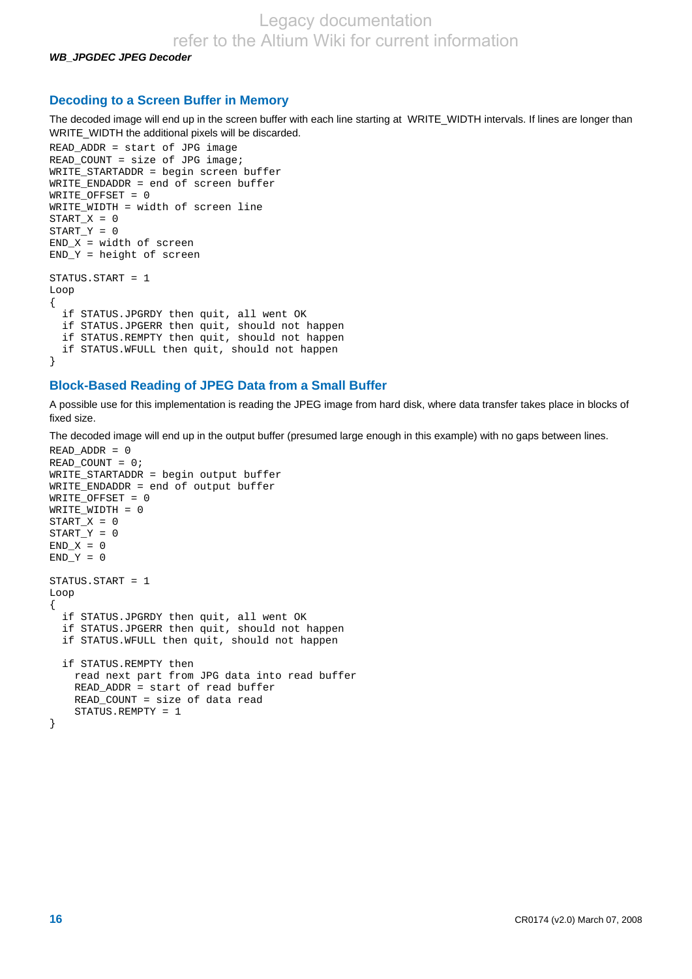*WB\_JPGDEC JPEG Decoder* 

#### **Decoding to a Screen Buffer in Memory**

The decoded image will end up in the screen buffer with each line starting at WRITE\_WIDTH intervals. If lines are longer than WRITE\_WIDTH the additional pixels will be discarded.

```
READ_ADDR = start of JPG image 
READ_COUNT = size of JPG image; 
WRITE_STARTADDR = begin screen buffer 
WRITE_ENDADDR = end of screen buffer 
WRITE_OFFSET = 0 
WRITE_WIDTH = width of screen line 
START X = 0START_Y = 0END_X = width of screen 
END_Y = height of screen 
STATUS.START = 1 
Loop 
{ 
   if STATUS.JPGRDY then quit, all went OK 
 if STATUS.JPGERR then quit, should not happen 
 if STATUS.REMPTY then quit, should not happen 
   if STATUS.WFULL then quit, should not happen 
}
```
#### **Block-Based Reading of JPEG Data from a Small Buffer**

A possible use for this implementation is reading the JPEG image from hard disk, where data transfer takes place in blocks of fixed size.

The decoded image will end up in the output buffer (presumed large enough in this example) with no gaps between lines.

```
READ_ADDR = 0 
READ_COUNT = 0; 
WRITE_STARTADDR = begin output buffer 
WRITE_ENDADDR = end of output buffer 
WRITE_OFFSET = 0 
WRITE_WIDTH = 0 
START_X = 0START_Y = 0END X = 0END Y = 0STATUS.START = 1 
Loop 
{ 
   if STATUS.JPGRDY then quit, all went OK 
   if STATUS.JPGERR then quit, should not happen 
   if STATUS.WFULL then quit, should not happen 
   if STATUS.REMPTY then 
     read next part from JPG data into read buffer 
     READ_ADDR = start of read buffer 
     READ_COUNT = size of data read 
     STATUS.REMPTY = 1 
}
```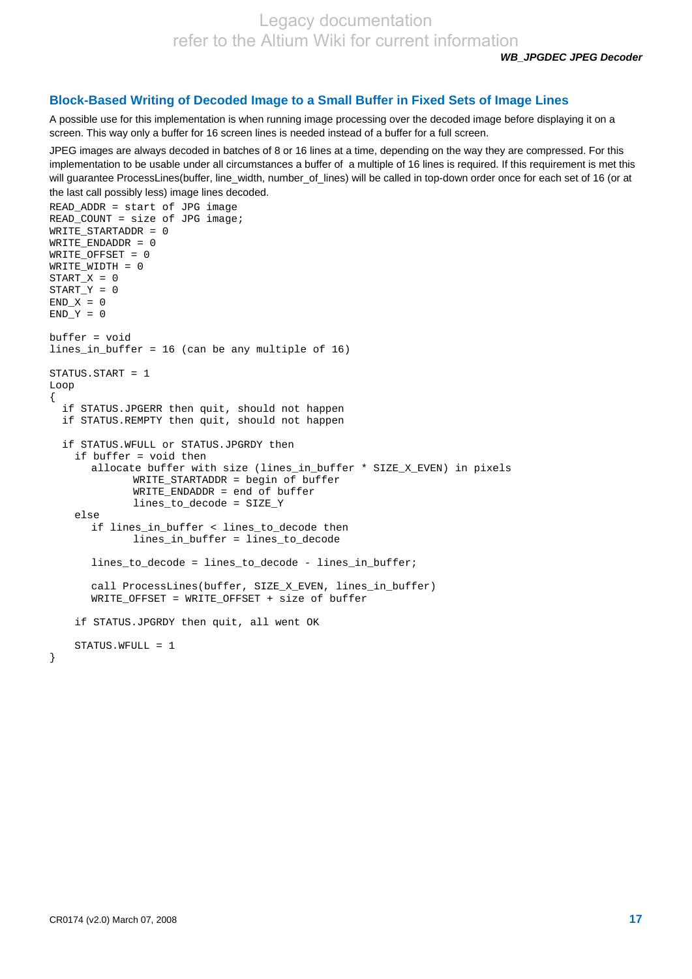*WB\_JPGDEC JPEG Decoder* 

#### **Block-Based Writing of Decoded Image to a Small Buffer in Fixed Sets of Image Lines**

A possible use for this implementation is when running image processing over the decoded image before displaying it on a screen. This way only a buffer for 16 screen lines is needed instead of a buffer for a full screen.

JPEG images are always decoded in batches of 8 or 16 lines at a time, depending on the way they are compressed. For this implementation to be usable under all circumstances a buffer of a multiple of 16 lines is required. If this requirement is met this will guarantee ProcessLines(buffer, line\_width, number\_of\_lines) will be called in top-down order once for each set of 16 (or at the last call possibly less) image lines decoded.

```
READ_ADDR = start of JPG image 
READ COUNT = size of JPG image;
WRITE_STARTADDR = 0 
WRITE_ENDADDR = 0 
WRITE OFFSET = 0
WRITE_WIDTH = 0 
START X = 0START Y = 0END_X = 0END_Y = 0buffer = void 
lines_in_buffer = 16 (can be any multiple of 16) 
STATUS.START = 1
Loop 
{ 
   if STATUS.JPGERR then quit, should not happen 
   if STATUS.REMPTY then quit, should not happen 
   if STATUS.WFULL or STATUS.JPGRDY then 
     if buffer = void then 
        allocate buffer with size (lines_in_buffer * SIZE_X_EVEN) in pixels 
              WRITE STARTADDR = begin of buffer
               WRITE_ENDADDR = end of buffer 
               lines_to_decode = SIZE_Y 
     else 
        if lines_in_buffer < lines_to_decode then 
               lines_in_buffer = lines_to_decode 
        lines_to_decode = lines_to_decode - lines_in_buffer; 
        call ProcessLines(buffer, SIZE_X_EVEN, lines_in_buffer) 
        WRITE_OFFSET = WRITE_OFFSET + size of buffer 
     if STATUS.JPGRDY then quit, all went OK 
     STATUS.WFULL = 1 
}
```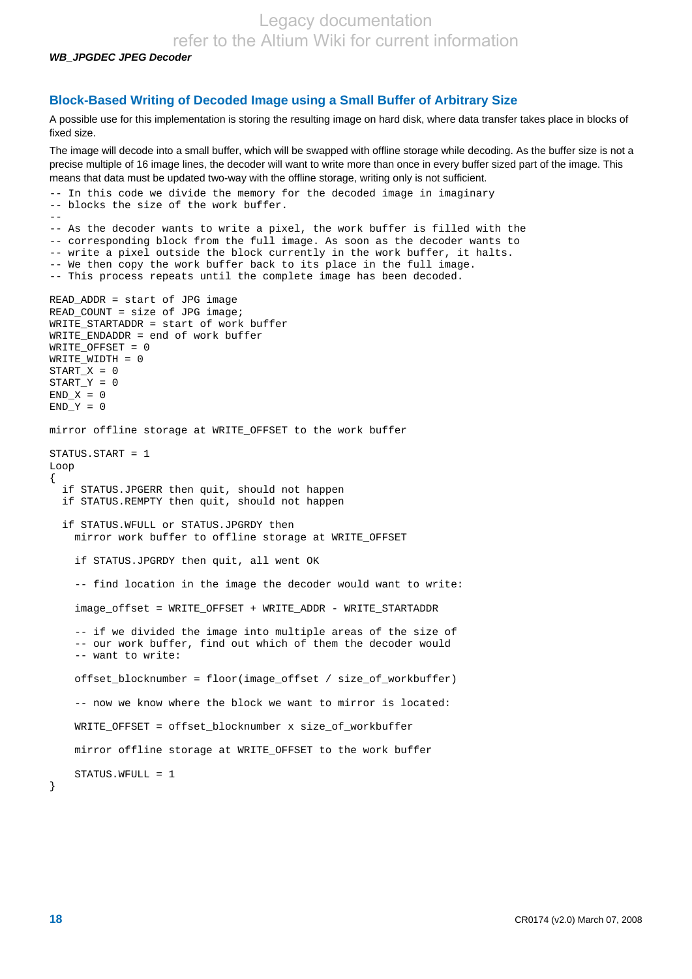Legacy documentation

refer to the Altium Wiki for current information

*WB\_JPGDEC JPEG Decoder* 

#### **Block-Based Writing of Decoded Image using a Small Buffer of Arbitrary Size**

A possible use for this implementation is storing the resulting image on hard disk, where data transfer takes place in blocks of fixed size.

The image will decode into a small buffer, which will be swapped with offline storage while decoding. As the buffer size is not a precise multiple of 16 image lines, the decoder will want to write more than once in every buffer sized part of the image. This means that data must be updated two-way with the offline storage, writing only is not sufficient.

```
-- In this code we divide the memory for the decoded image in imaginary
-- blocks the size of the work buffer. 
-- 
-- As the decoder wants to write a pixel, the work buffer is filled with the 
-- corresponding block from the full image. As soon as the decoder wants to 
-- write a pixel outside the block currently in the work buffer, it halts. 
-- We then copy the work buffer back to its place in the full image. 
-- This process repeats until the complete image has been decoded. 
READ_ADDR = start of JPG image 
READ_COUNT = size of JPG image; 
WRITE_STARTADDR = start of work buffer 
WRITE_ENDADDR = end of work buffer 
WRITE_OFFSET = 0 
WRITE_WIDTH = 0 
START_X = 0START Y = 0END X = 0END_Y = 0mirror offline storage at WRITE_OFFSET to the work buffer 
STATUS.START = 1 
Loop 
{ 
   if STATUS.JPGERR then quit, should not happen 
   if STATUS.REMPTY then quit, should not happen 
   if STATUS.WFULL or STATUS.JPGRDY then 
     mirror work buffer to offline storage at WRITE_OFFSET 
     if STATUS.JPGRDY then quit, all went OK 
     -- find location in the image the decoder would want to write: 
     image_offset = WRITE_OFFSET + WRITE_ADDR - WRITE_STARTADDR 
     -- if we divided the image into multiple areas of the size of 
     -- our work buffer, find out which of them the decoder would 
     -- want to write: 
     offset_blocknumber = floor(image_offset / size_of_workbuffer) 
     -- now we know where the block we want to mirror is located: 
    WRITE_OFFSET = offset_blocknumber x size_of_workbuffer
     mirror offline storage at WRITE_OFFSET to the work buffer 
    STATUS WFULL = 1}
```